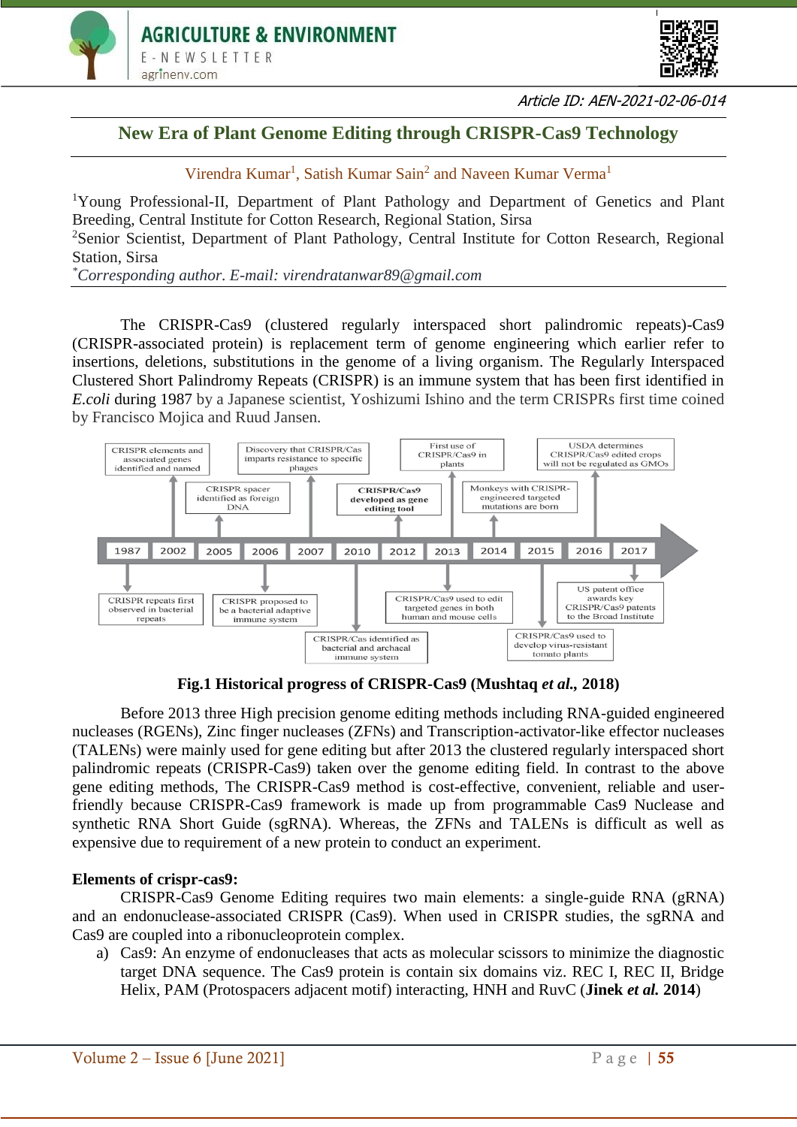



Article ID: AEN-2021-02-06-014

# **New Era of Plant Genome Editing through CRISPR-Cas9 Technology**

Virendra Kumar<sup>1</sup>, Satish Kumar Sain<sup>2</sup> and Naveen Kumar Verma<sup>1</sup>

<sup>1</sup>Young Professional-II, Department of Plant Pathology and Department of Genetics and Plant Breeding, Central Institute for Cotton Research, Regional Station, Sirsa

<sup>2</sup>Senior Scientist, Department of Plant Pathology, Central Institute for Cotton Research, Regional Station, Sirsa

*\*Corresponding author. E-mail: virendratanwar89@gmail.com*

The CRISPR-Cas9 (clustered regularly interspaced short palindromic repeats)-Cas9 (CRISPR-associated protein) is replacement term of genome engineering which earlier refer to insertions, deletions, substitutions in the genome of a living organism. The Regularly Interspaced Clustered Short Palindromy Repeats (CRISPR) is an immune system that has been first identified in *E.coli* during 1987 by a Japanese scientist, Yoshizumi Ishino and the term CRISPRs first time coined by Francisco Mojica and Ruud Jansen.



**Fig.1 Historical progress of CRISPR-Cas9 (Mushtaq** *et al.,* **2018)**

Before 2013 three High precision genome editing methods including RNA-guided engineered nucleases (RGENs), Zinc finger nucleases (ZFNs) and Transcription-activator-like effector nucleases (TALENs) were mainly used for gene editing but after 2013 the clustered regularly interspaced short palindromic repeats (CRISPR-Cas9) taken over the genome editing field. In contrast to the above gene editing methods, The CRISPR-Cas9 method is cost-effective, convenient, reliable and userfriendly because CRISPR-Cas9 framework is made up from programmable Cas9 Nuclease and synthetic RNA Short Guide (sgRNA). Whereas, the ZFNs and TALENs is difficult as well as expensive due to requirement of a new protein to conduct an experiment.

## **Elements of crispr-cas9:**

CRISPR-Cas9 Genome Editing requires two main elements: a single-guide RNA (gRNA) and an endonuclease-associated CRISPR (Cas9). When used in CRISPR studies, the sgRNA and Cas9 are coupled into a ribonucleoprotein complex.

a) Cas9: An enzyme of endonucleases that acts as molecular scissors to minimize the diagnostic target DNA sequence. The Cas9 protein is contain six domains viz. REC I, REC II, Bridge Helix, PAM (Protospacers adjacent motif) interacting, HNH and RuvC (**Jinek** *et al.* **2014**)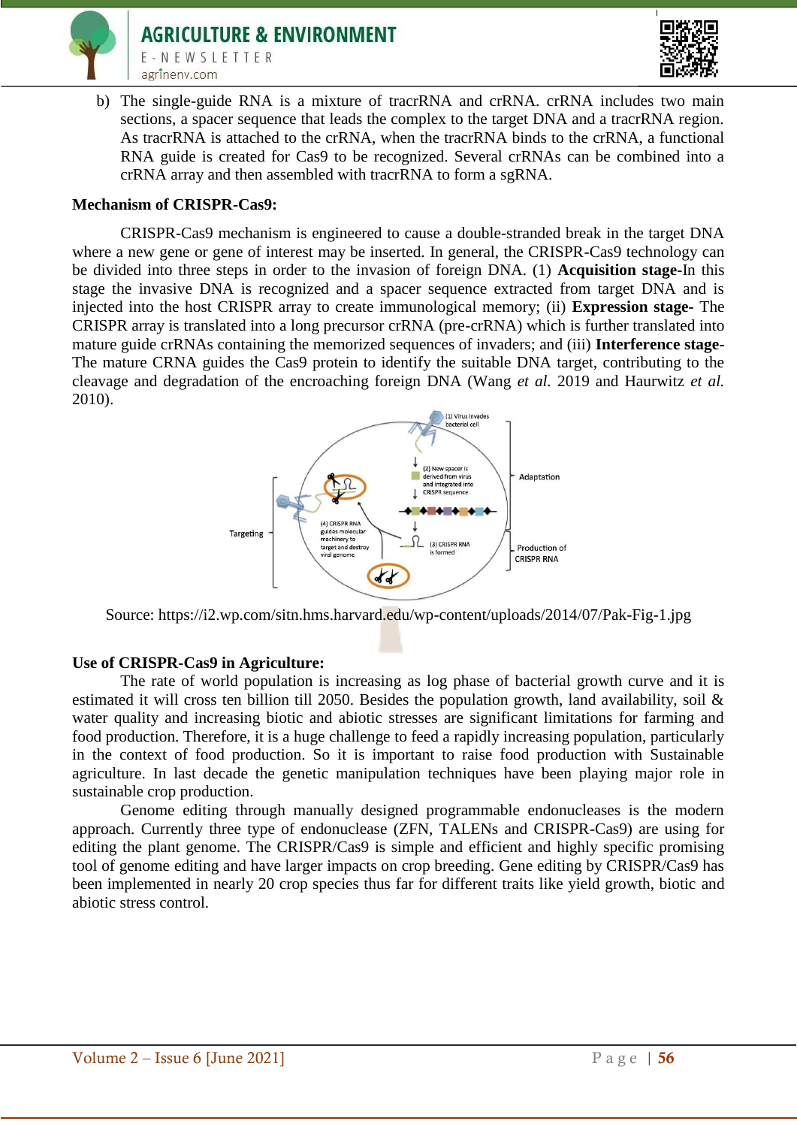



b) The single-guide RNA is a mixture of tracrRNA and crRNA. crRNA includes two main sections, a spacer sequence that leads the complex to the target DNA and a tracrRNA region. As tracrRNA is attached to the crRNA, when the tracrRNA binds to the crRNA, a functional RNA guide is created for Cas9 to be recognized. Several crRNAs can be combined into a crRNA array and then assembled with tracrRNA to form a sgRNA.

#### **Mechanism of CRISPR-Cas9:**

CRISPR-Cas9 mechanism is engineered to cause a double-stranded break in the target DNA where a new gene or gene of interest may be inserted. In general, the CRISPR-Cas9 technology can be divided into three steps in order to the invasion of foreign DNA. (1) **Acquisition stage-**In this stage the invasive DNA is recognized and a spacer sequence extracted from target DNA and is injected into the host CRISPR array to create immunological memory; (ii) **Expression stage-** The CRISPR array is translated into a long precursor crRNA (pre-crRNA) which is further translated into mature guide crRNAs containing the memorized sequences of invaders; and (iii) **Interference stage-**The mature CRNA guides the Cas9 protein to identify the suitable DNA target, contributing to the cleavage and degradation of the encroaching foreign DNA (Wang *et al.* 2019 and Haurwitz *et al.* 2010).



Source: https://i2.wp.com/sitn.hms.harvard.edu/wp-content/uploads/2014/07/Pak-Fig-1.jpg

## **Use of CRISPR-Cas9 in Agriculture:**

The rate of world population is increasing as log phase of bacterial growth curve and it is estimated it will cross ten billion till 2050. Besides the population growth, land availability, soil & water quality and increasing biotic and abiotic stresses are significant limitations for farming and food production. Therefore, it is a huge challenge to feed a rapidly increasing population, particularly in the context of food production. So it is important to raise food production with Sustainable agriculture. In last decade the genetic manipulation techniques have been playing major role in sustainable crop production.

Genome editing through manually designed programmable endonucleases is the modern approach. Currently three type of endonuclease (ZFN, TALENs and CRISPR-Cas9) are using for editing the plant genome. The CRISPR/Cas9 is simple and efficient and highly specific promising tool of genome editing and have larger impacts on crop breeding. Gene editing by CRISPR/Cas9 has been implemented in nearly 20 crop species thus far for different traits like yield growth, biotic and abiotic stress control.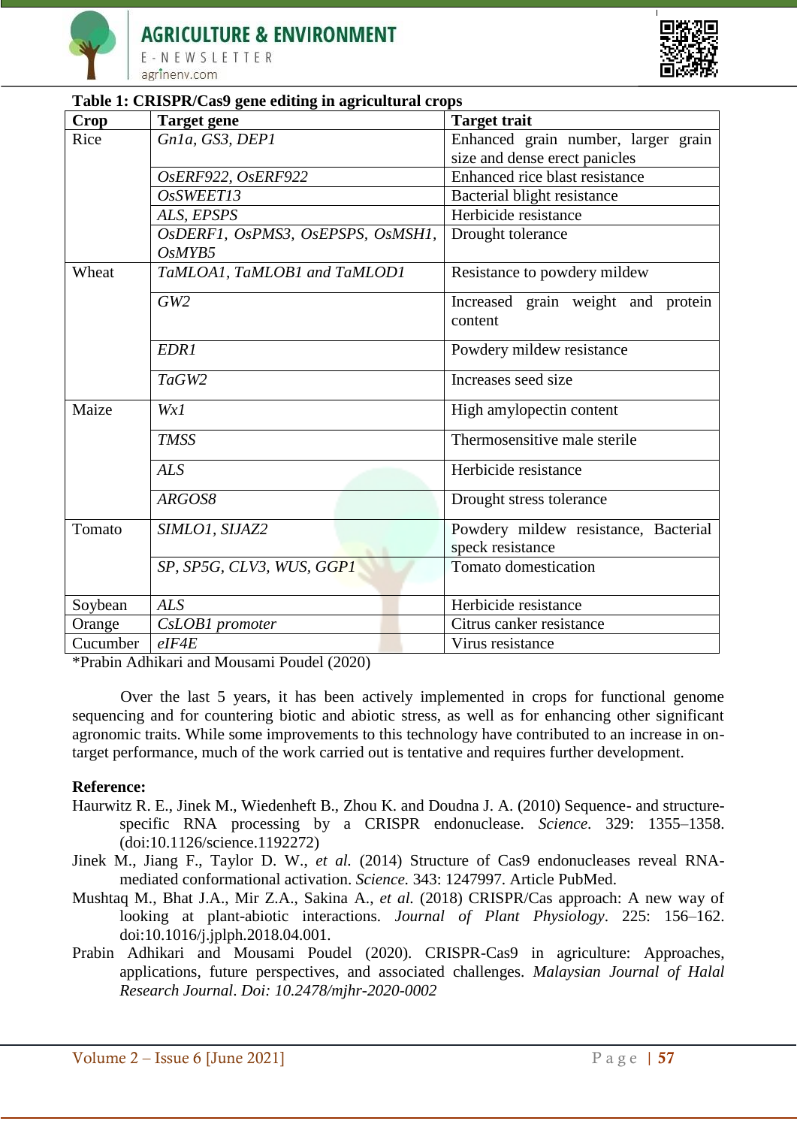



## **Table 1: CRISPR/Cas9 gene editing in agricultural crops**

| <b>Crop</b> | <b>Target gene</b>                | <b>Target trait</b>                           |
|-------------|-----------------------------------|-----------------------------------------------|
| Rice        | Gn1a, GS3, DEP1                   | Enhanced grain number, larger grain           |
|             |                                   | size and dense erect panicles                 |
|             | OsERF922, OsERF922                | Enhanced rice blast resistance                |
|             | OsSWEET13                         | Bacterial blight resistance                   |
|             | ALS, EPSPS                        | Herbicide resistance                          |
|             | OsDERF1, OsPMS3, OsEPSPS, OsMSH1, | Drought tolerance                             |
|             | OsMYB5                            |                                               |
| Wheat       | TaMLOA1, TaMLOB1 and TaMLOD1      | Resistance to powdery mildew                  |
|             | GW2                               | Increased grain weight and protein<br>content |
|             | EDR1                              | Powdery mildew resistance                     |
|             | TaGW2                             | Increases seed size                           |
| Maize       | WxI                               | High amylopectin content                      |
|             | <b>TMSS</b>                       | Thermosensitive male sterile                  |
|             | <b>ALS</b>                        | Herbicide resistance                          |
|             | ARGOS8                            | Drought stress tolerance                      |
| Tomato      | SIMLO1, SIJAZ2                    | Powdery mildew resistance, Bacterial          |
|             |                                   | speck resistance<br>Tomato domestication      |
|             | SP, SP5G, CLV3, WUS, GGP1         |                                               |
| Soybean     | <b>ALS</b>                        | Herbicide resistance                          |
| Orange      | CsLOB1 promoter                   | Citrus canker resistance                      |
| Cucumber    | $e$ IF4E                          | Virus resistance                              |

\*Prabin Adhikari and Mousami Poudel (2020)

Over the last 5 years, it has been actively implemented in crops for functional genome sequencing and for countering biotic and abiotic stress, as well as for enhancing other significant agronomic traits. While some improvements to this technology have contributed to an increase in ontarget performance, much of the work carried out is tentative and requires further development.

## **Reference:**

- Haurwitz R. E., Jinek M., Wiedenheft B., Zhou K. and Doudna J. A. (2010) Sequence- and structurespecific RNA processing by a CRISPR endonuclease. *Science*. 329: 1355–1358. (doi:10.1126/science.1192272)
- Jinek M., Jiang F., Taylor D. W., *et al.* (2014) Structure of Cas9 endonucleases reveal RNAmediated conformational activation. *Science.* 343: 1247997. Article PubMed.
- Mushtaq M., Bhat J.A., Mir Z.A., Sakina A., *et al.* (2018) CRISPR/Cas approach: A new way of looking at plant-abiotic interactions. *Journal of Plant Physiology*. 225: 156–162. doi:10.1016/j.jplph.2018.04.001.
- Prabin Adhikari and Mousami Poudel (2020). CRISPR-Cas9 in agriculture: Approaches, applications, future perspectives, and associated challenges. *Malaysian Journal of Halal Research Journal*. *Doi: 10.2478/mjhr-2020-0002*